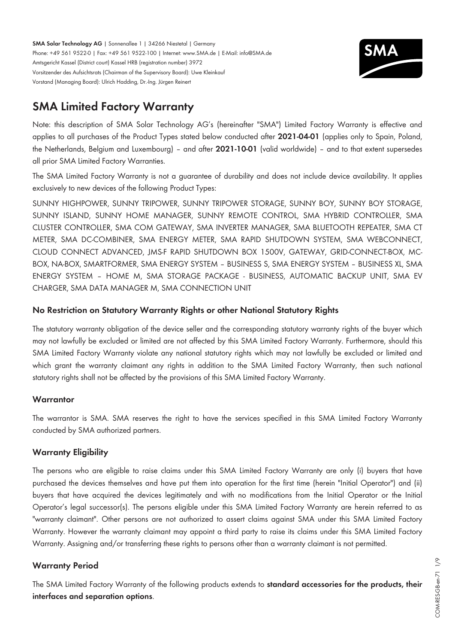**SMA Solar Technology AG** | Sonnenallee 1 | 34266 Niestetal | Germany Phone: +49 561 9522-0 | Fax: +49 561 9522-100 | Internet: www.SMA.de | E-Mail: info@SMA.de Amtsgericht Kassel (District court) Kassel HRB (registration number) 3972 Vorsitzender des Aufsichtsrats (Chairman of the Supervisory Board): Uwe Kleinkauf Vorstand (Managing Board): Ulrich Hadding, Dr.-Ing. Jürgen Reinert



# **SMA Limited Factory Warranty**

Note: this description of SMA Solar Technology AG's (hereinafter "SMA") Limited Factory Warranty is effective and applies to all purchases of the Product Types stated below conducted after **2021-04-01** (applies only to Spain, Poland, the Netherlands, Belgium and Luxembourg) – and after **2021-10-01** (valid worldwide) – and to that extent supersedes all prior SMA Limited Factory Warranties.

The SMA Limited Factory Warranty is not a guarantee of durability and does not include device availability. It applies exclusively to new devices of the following Product Types:

SUNNY HIGHPOWER, SUNNY TRIPOWER, SUNNY TRIPOWER STORAGE, SUNNY BOY, SUNNY BOY STORAGE, SUNNY ISLAND, SUNNY HOME MANAGER, SUNNY REMOTE CONTROL, SMA HYBRID CONTROLLER, SMA CLUSTER CONTROLLER, SMA COM GATEWAY, SMA INVERTER MANAGER, SMA BLUETOOTH REPEATER, SMA CT METER, SMA DC-COMBINER, SMA ENERGY METER, SMA RAPID SHUTDOWN SYSTEM, SMA WEBCONNECT, CLOUD CONNECT ADVANCED, JMS-F RAPID SHUTDOWN BOX 1500V, GATEWAY, GRID-CONNECT-BOX, MC-BOX, NA-BOX, SMARTFORMER, SMA ENERGY SYSTEM – BUSINESS S, SMA ENERGY SYSTEM – BUSINESS XL, SMA ENERGY SYSTEM – HOME M, SMA STORAGE PACKAGE - BUSINESS, AUTOMATIC BACKUP UNIT, SMA EV CHARGER, SMA DATA MANAGER M, SMA CONNECTION UNIT

# **No Restriction on Statutory Warranty Rights or other National Statutory Rights**

The statutory warranty obligation of the device seller and the corresponding statutory warranty rights of the buyer which may not lawfully be excluded or limited are not affected by this SMA Limited Factory Warranty. Furthermore, should this SMA Limited Factory Warranty violate any national statutory rights which may not lawfully be excluded or limited and which grant the warranty claimant any rights in addition to the SMA Limited Factory Warranty, then such national statutory rights shall not be affected by the provisions of this SMA Limited Factory Warranty.

### **Warrantor**

The warrantor is SMA. SMA reserves the right to have the services specified in this SMA Limited Factory Warranty conducted by SMA authorized partners.

# **Warranty Eligibility**

The persons who are eligible to raise claims under this SMA Limited Factory Warranty are only (i) buyers that have purchased the devices themselves and have put them into operation for the first time (herein "Initial Operator") and (ii) buyers that have acquired the devices legitimately and with no modifications from the Initial Operator or the Initial Operator's legal successor(s). The persons eligible under this SMA Limited Factory Warranty are herein referred to as "warranty claimant". Other persons are not authorized to assert claims against SMA under this SMA Limited Factory Warranty. However the warranty claimant may appoint a third party to raise its claims under this SMA Limited Factory Warranty. Assigning and/or transferring these rights to persons other than a warranty claimant is not permitted.

# **Warranty Period**

The SMA Limited Factory Warranty of the following products extends to **standard accessories for the products, their interfaces and separation options**.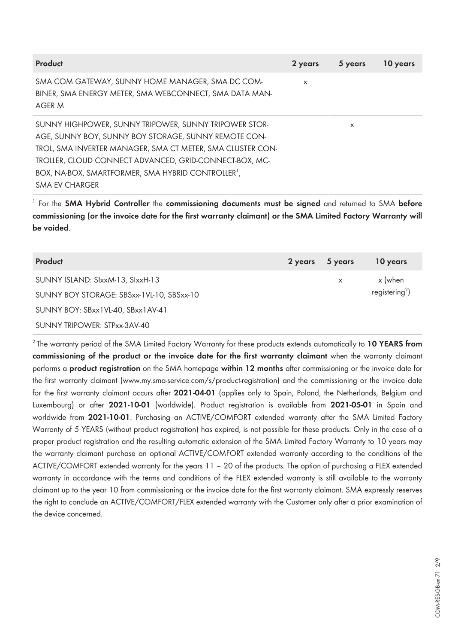| <b>Product</b>                                                                                                       | 2 years  | 5 years | 10 years |
|----------------------------------------------------------------------------------------------------------------------|----------|---------|----------|
| SMA COM GATEWAY, SUNNY HOME MANAGER, SMA DC COM-<br>BINER, SMA ENERGY METER, SMA WEBCONNECT, SMA DATA MAN-<br>AGER M | $\times$ |         |          |
| SUNNY HIGHPOWER, SUNNY TRIPOWER, SUNNY TRIPOWER STOR-                                                                |          | X       |          |
| AGE, SUNNY BOY, SUNNY BOY STORAGE, SUNNY REMOTE CON-                                                                 |          |         |          |
| TROL, SMA INVERTER MANAGER, SMA CT METER, SMA CLUSTER CON-                                                           |          |         |          |
| TROLLER, CLOUD CONNECT ADVANCED, GRID-CONNECT-BOX, MC-                                                               |          |         |          |
| BOX, NA-BOX, SMARTFORMER, SMA HYBRID CONTROLLER <sup>1</sup> ,                                                       |          |         |          |
| SMA EV CHARGER                                                                                                       |          |         |          |

1 For the **SMA Hybrid Controller** the **commissioning documents must be signed** and returned to SMA **before commissioning (or the invoice date for the first warranty claimant) or the SMA Limited Factory Warranty will be voided**.

| Product                                   | 2 years | 5 years | 10 years                   |
|-------------------------------------------|---------|---------|----------------------------|
| SUNNY ISLAND: SIxxM-13, SIxxH-13          |         | X       | x (when                    |
| SUNNY BOY STORAGE: SBSxx-1VL-10, SBSxx-10 |         |         | registering <sup>2</sup> ) |
| SUNNY BOY: SBxx1VL-40, SBxx1AV-41         |         |         |                            |
| SUNNY TRIPOWER: STPxx-3AV-40              |         |         |                            |

<sup>2</sup>The warranty period of the SMA Limited Factory Warranty for these products extends automatically to **10 YEARS from commissioning of the product or the invoice date for the first warranty claimant** when the warranty claimant performs a **product registration** on the SMA homepage **within 12 months** after commissioning or the invoice date for the first warranty claimant ([www.my.sma-service.com/s/product-registration\)](http://www.my.sma-service.com/s/product-registration) and the commissioning or the invoice date for the first warranty claimant occurs after **2021-04-01** (applies only to Spain, Poland, the Netherlands, Belgium and Luxembourg) or after **2021-10-01** (worldwide). Product registration is available from **2021-05-01** in Spain and worldwide from **2021-10-01**. Purchasing an ACTIVE/COMFORT extended warranty after the SMA Limited Factory Warranty of 5 YEARS (without product registration) has expired, is not possible for these products. Only in the case of a proper product registration and the resulting automatic extension of the SMA Limited Factory Warranty to 10 years may the warranty claimant purchase an optional ACTIVE/COMFORT extended warranty according to the conditions of the ACTIVE/COMFORT extended warranty for the years 11 – 20 of the products. The option of purchasing a FLEX extended warranty in accordance with the terms and conditions of the FLEX extended warranty is still available to the warranty claimant up to the year 10 from commissioning or the invoice date for the first warranty claimant. SMA expressly reserves the right to conclude an ACTIVE/COMFORT/FLEX extended warranty with the Customer only after a prior examination of the device concerned.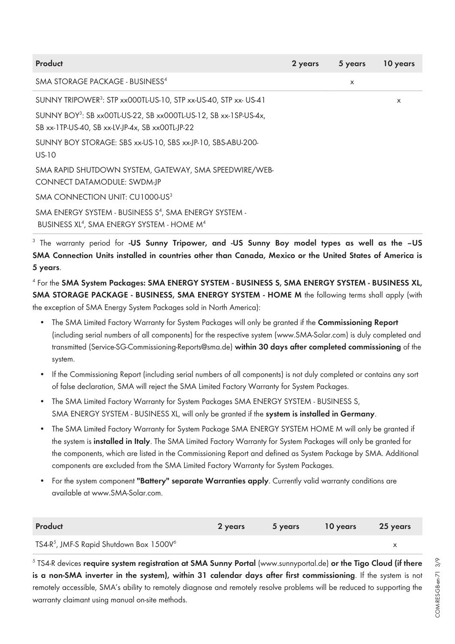| Product                                                                                                                                 | 2 years | 5 years | 10 years |
|-----------------------------------------------------------------------------------------------------------------------------------------|---------|---------|----------|
| SMA STORAGE PACKAGE - BUSINESS <sup>4</sup>                                                                                             |         | X       |          |
| SUNNY TRIPOWER <sup>3</sup> : STP xx000TL-US-10, STP xx-US-40, STP xx- US-41                                                            |         |         | X        |
| SUNNY BOY <sup>3</sup> : SB xx00TL-US-22, SB xx000TL-US-12, SB xx-1SP-US-4x,<br>SB xx-1TP-US-40, SB xx-LV-JP-4x, SB xx00TL-JP-22        |         |         |          |
| SUNNY BOY STORAGE: SBS xx-US-10, SBS xx-JP-10, SBS-ABU-200-<br>US-10                                                                    |         |         |          |
| SMA RAPID SHUTDOWN SYSTEM, GATEWAY, SMA SPEEDWIRE/WEB-<br>CONNECT DATAMODULE: SWDM-JP                                                   |         |         |          |
| SMA CONNECTION UNIT: CU1000-US <sup>3</sup>                                                                                             |         |         |          |
| SMA ENERGY SYSTEM - BUSINESS S <sup>4</sup> , SMA ENERGY SYSTEM -<br>BUSINESS XL <sup>4</sup> , SMA ENERGY SYSTEM - HOME M <sup>4</sup> |         |         |          |
|                                                                                                                                         |         |         |          |

3 The warranty period for **-US Sunny Tripower, and -US Sunny Boy model types as well as the –US SMA Connection Units installed in countries other than Canada, Mexico or the United States of America is 5 years**.

4 For the **SMA System Packages: SMA ENERGY SYSTEM - BUSINESS S, SMA ENERGY SYSTEM - BUSINESS XL, SMA STORAGE PACKAGE - BUSINESS, SMA ENERGY SYSTEM - HOME M** the following terms shall apply (with the exception of SMA Energy System Packages sold in North America):

- The SMA Limited Factory Warranty for System Packages will only be granted if the **Commissioning Report** (including serial numbers of all components) for the respective system [\(www.SMA-Solar.com\)](https://www.sma.de/en) is duly completed and transmitted (Service-SG-Commissioning-Reports@sma.de) **within 30 days after completed commissioning** of the system.
- If the Commissioning Report (including serial numbers of all components) is not duly completed or contains any sort of false declaration, SMA will reject the SMA Limited Factory Warranty for System Packages.
- The SMA Limited Factory Warranty for System Packages SMA ENERGY SYSTEM BUSINESS S, SMA ENERGY SYSTEM - BUSINESS XL, will only be granted if the **system is installed in Germany**.
- The SMA Limited Factory Warranty for System Package SMA ENERGY SYSTEM HOME M will only be granted if the system is **installed in Italy**. The SMA Limited Factory Warranty for System Packages will only be granted for the components, which are listed in the Commissioning Report and defined as System Package by SMA. Additional components are excluded from the SMA Limited Factory Warranty for System Packages.
- For the system component **"Battery" separate Warranties apply**. Currently valid warranty conditions are available at [www.SMA-Solar.com.](https://www.sma.de/en)

| Product                                                          | 2 years | <b>5</b> years | 10 years | 25 years |
|------------------------------------------------------------------|---------|----------------|----------|----------|
| TS4-R <sup>5</sup> , JMF-S Rapid Shutdown Box 1500V <sup>6</sup> |         |                |          |          |

5 TS4-R devices **require system registration at SMA Sunny Portal** ([www.sunnyportal.de](https://www.sunnyportal.com/Templates/Start.aspx?ReturnUrl=%252f)) **or the Tigo Cloud (if there is a non-SMA inverter in the system), within 31 calendar days after first commissioning**. If the system is not remotely accessible, SMA's ability to remotely diagnose and remotely resolve problems will be reduced to supporting the warranty claimant using manual on-site methods.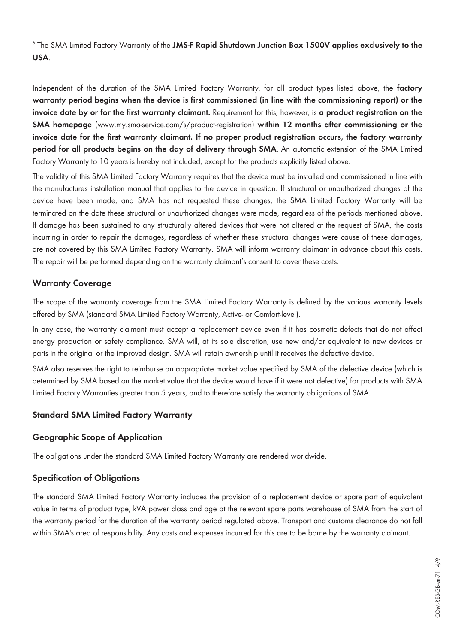6 The SMA Limited Factory Warranty of the **JMS-F Rapid Shutdown Junction Box 1500V applies exclusively to the USA**.

Independent of the duration of the SMA Limited Factory Warranty, for all product types listed above, the **factory warranty period begins when the device is first commissioned (in line with the commissioning report) or the invoice date by or for the first warranty claimant.** Requirement for this, however, is **a product registration on the SMA homepage** ([www.my.sma-service.com/s/product-registration\)](http://www.my.sma-service.com/s/product-registration) **within 12 months after commissioning or the invoice date for the first warranty claimant. If no proper product registration occurs, the factory warranty period for all products begins on the day of delivery through SMA**. An automatic extension of the SMA Limited Factory Warranty to 10 years is hereby not included, except for the products explicitly listed above.

The validity of this SMA Limited Factory Warranty requires that the device must be installed and commissioned in line with the manufactures installation manual that applies to the device in question. If structural or unauthorized changes of the device have been made, and SMA has not requested these changes, the SMA Limited Factory Warranty will be terminated on the date these structural or unauthorized changes were made, regardless of the periods mentioned above. If damage has been sustained to any structurally altered devices that were not altered at the request of SMA, the costs incurring in order to repair the damages, regardless of whether these structural changes were cause of these damages, are not covered by this SMA Limited Factory Warranty. SMA will inform warranty claimant in advance about this costs. The repair will be performed depending on the warranty claimant's consent to cover these costs.

### **Warranty Coverage**

The scope of the warranty coverage from the SMA Limited Factory Warranty is defined by the various warranty levels offered by SMA (standard SMA Limited Factory Warranty, Active- or Comfort-level).

In any case, the warranty claimant must accept a replacement device even if it has cosmetic defects that do not affect energy production or safety compliance. SMA will, at its sole discretion, use new and/or equivalent to new devices or parts in the original or the improved design. SMA will retain ownership until it receives the defective device.

SMA also reserves the right to reimburse an appropriate market value specified by SMA of the defective device (which is determined by SMA based on the market value that the device would have if it were not defective) for products with SMA Limited Factory Warranties greater than 5 years, and to therefore satisfy the warranty obligations of SMA.

# **Standard SMA Limited Factory Warranty**

### **Geographic Scope of Application**

The obligations under the standard SMA Limited Factory Warranty are rendered worldwide.

# **Specification of Obligations**

The standard SMA Limited Factory Warranty includes the provision of a replacement device or spare part of equivalent value in terms of product type, kVA power class and age at the relevant spare parts warehouse of SMA from the start of the warranty period for the duration of the warranty period regulated above. Transport and customs clearance do not fall within SMA's area of responsibility. Any costs and expenses incurred for this are to be borne by the warranty claimant.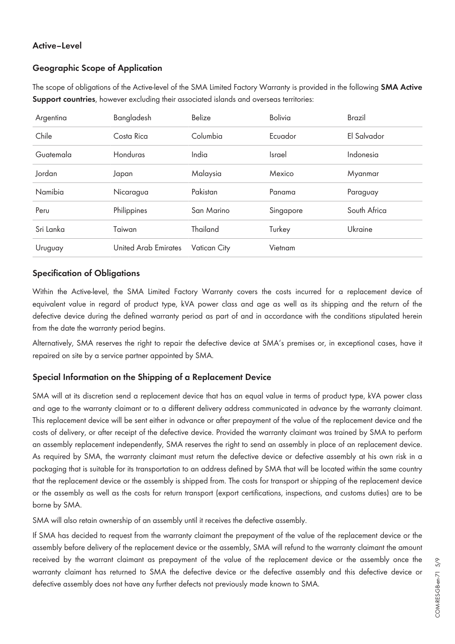### **Active–Level**

### **Geographic Scope of Application**

The scope of obligations of the Active-level of the SMA Limited Factory Warranty is provided in the following **SMA Active Support countries**, however excluding their associated islands and overseas territories:

| Argentina | Bangladesh                  | Belize              | <b>Bolivia</b> | <b>Brazil</b> |
|-----------|-----------------------------|---------------------|----------------|---------------|
| Chile     | Costa Rica                  | Columbia            | Ecuador        | El Salvador   |
| Guatemala | Honduras                    | India               | <b>Israel</b>  | Indonesia     |
| Jordan    | Japan                       | Malaysia            | Mexico         | Myanmar       |
| Namibia   | Nicaragua                   | Pakistan            | Panama         | Paraguay      |
| Peru      | Philippines                 | San Marino          | Singapore      | South Africa  |
| Sri Lanka | Taiwan                      | Thailand            | Turkey         | Ukraine       |
| Uruguay   | <b>United Arab Emirates</b> | <b>Vatican City</b> | Vietnam        |               |

#### **Specification of Obligations**

Within the Active-level, the SMA Limited Factory Warranty covers the costs incurred for a replacement device of equivalent value in regard of product type, kVA power class and age as well as its shipping and the return of the defective device during the defined warranty period as part of and in accordance with the conditions stipulated herein from the date the warranty period begins.

Alternatively, SMA reserves the right to repair the defective device at SMA's premises or, in exceptional cases, have it repaired on site by a service partner appointed by SMA.

### **Special Information on the Shipping of a Replacement Device**

SMA will at its discretion send a replacement device that has an equal value in terms of product type, kVA power class and age to the warranty claimant or to a different delivery address communicated in advance by the warranty claimant. This replacement device will be sent either in advance or after prepayment of the value of the replacement device and the costs of delivery, or after receipt of the defective device. Provided the warranty claimant was trained by SMA to perform an assembly replacement independently, SMA reserves the right to send an assembly in place of an replacement device. As required by SMA, the warranty claimant must return the defective device or defective assembly at his own risk in a packaging that is suitable for its transportation to an address defined by SMA that will be located within the same country that the replacement device or the assembly is shipped from. The costs for transport or shipping of the replacement device or the assembly as well as the costs for return transport (export certifications, inspections, and customs duties) are to be borne by SMA.

SMA will also retain ownership of an assembly until it receives the defective assembly.

If SMA has decided to request from the warranty claimant the prepayment of the value of the replacement device or the assembly before delivery of the replacement device or the assembly, SMA will refund to the warranty claimant the amount received by the warrant claimant as prepayment of the value of the replacement device or the assembly once the warranty claimant has returned to SMA the defective device or the defective assembly and this defective device or defective assembly does not have any further defects not previously made known to SMA.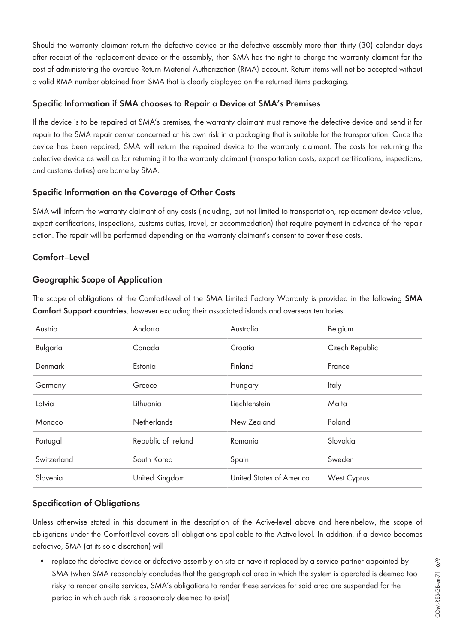Should the warranty claimant return the defective device or the defective assembly more than thirty (30) calendar days after receipt of the replacement device or the assembly, then SMA has the right to charge the warranty claimant for the cost of administering the overdue Return Material Authorization (RMA) account. Return items will not be accepted without a valid RMA number obtained from SMA that is clearly displayed on the returned items packaging.

## **Specific Information if SMA chooses to Repair a Device at SMA's Premises**

If the device is to be repaired at SMA's premises, the warranty claimant must remove the defective device and send it for repair to the SMA repair center concerned at his own risk in a packaging that is suitable for the transportation. Once the device has been repaired, SMA will return the repaired device to the warranty claimant. The costs for returning the defective device as well as for returning it to the warranty claimant (transportation costs, export certifications, inspections, and customs duties) are borne by SMA.

# **Specific Information on the Coverage of Other Costs**

SMA will inform the warranty claimant of any costs (including, but not limited to transportation, replacement device value, export certifications, inspections, customs duties, travel, or accommodation) that require payment in advance of the repair action. The repair will be performed depending on the warranty claimant's consent to cover these costs.

# **Comfort–Level**

# **Geographic Scope of Application**

The scope of obligations of the Comfort-level of the SMA Limited Factory Warranty is provided in the following **SMA Comfort Support countries**, however excluding their associated islands and overseas territories:

| Austria         | Andorra             | Australia                | Belgium        |
|-----------------|---------------------|--------------------------|----------------|
| <b>Bulgaria</b> | Canada              | Croatia                  | Czech Republic |
| Denmark         | Estonia             | Finland                  | France         |
| Germany         | Greece              | Hungary                  | Italy          |
| Latvia          | Lithuania           | Liechtenstein            | Malta          |
| Monaco          | <b>Netherlands</b>  | New Zealand              | Poland         |
| Portugal        | Republic of Ireland | Romania                  | Slovakia       |
| Switzerland     | South Korea         | Spain                    | Sweden         |
| Slovenia        | United Kingdom      | United States of America | West Cyprus    |

# **Specification of Obligations**

Unless otherwise stated in this document in the description of the Active-level above and hereinbelow, the scope of obligations under the Comfort-level covers all obligations applicable to the Active-level. In addition, if a device becomes defective, SMA (at its sole discretion) will

• replace the defective device or defective assembly on site or have it replaced by a service partner appointed by SMA (when SMA reasonably concludes that the geographical area in which the system is operated is deemed too risky to render on-site services, SMA's obligations to render these services for said area are suspended for the period in which such risk is reasonably deemed to exist)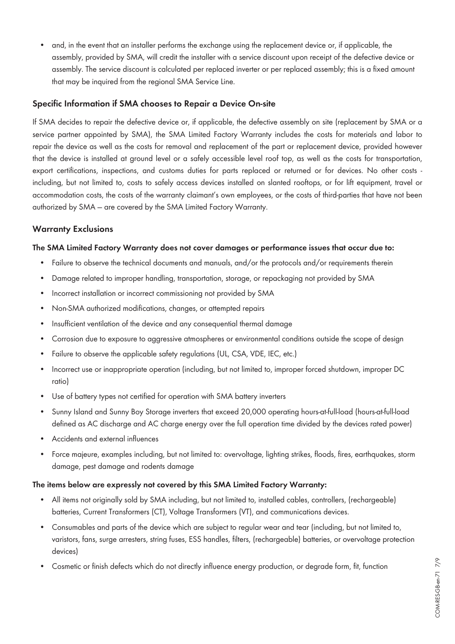• and, in the event that an installer performs the exchange using the replacement device or, if applicable, the assembly, provided by SMA, will credit the installer with a service discount upon receipt of the defective device or assembly. The service discount is calculated per replaced inverter or per replaced assembly; this is a fixed amount that may be inquired from the regional SMA Service Line.

#### **Specific Information if SMA chooses to Repair a Device On-site**

If SMA decides to repair the defective device or, if applicable, the defective assembly on site (replacement by SMA or a service partner appointed by SMA), the SMA Limited Factory Warranty includes the costs for materials and labor to repair the device as well as the costs for removal and replacement of the part or replacement device, provided however that the device is installed at ground level or a safely accessible level roof top, as well as the costs for transportation, export certifications, inspections, and customs duties for parts replaced or returned or for devices. No other costs including, but not limited to, costs to safely access devices installed on slanted rooftops, or for lift equipment, travel or accommodation costs, the costs of the warranty claimant's own employees, or the costs of third-parties that have not been authorized by SMA — are covered by the SMA Limited Factory Warranty.

### **Warranty Exclusions**

#### **The SMA Limited Factory Warranty does not cover damages or performance issues that occur due to:**

- Failure to observe the technical documents and manuals, and/or the protocols and/or requirements therein
- Damage related to improper handling, transportation, storage, or repackaging not provided by SMA
- Incorrect installation or incorrect commissioning not provided by SMA
- Non-SMA authorized modifications, changes, or attempted repairs
- Insufficient ventilation of the device and any consequential thermal damage
- Corrosion due to exposure to aggressive atmospheres or environmental conditions outside the scope of design
- Failure to observe the applicable safety regulations (UL, CSA, VDE, IEC, etc.)
- Incorrect use or inappropriate operation (including, but not limited to, improper forced shutdown, improper DC ratio)
- Use of battery types not certified for operation with SMA battery inverters
- Sunny Island and Sunny Boy Storage inverters that exceed 20,000 operating hours-at-full-load (hours-at-full-load defined as AC discharge and AC charge energy over the full operation time divided by the devices rated power)
- Accidents and external influences
- Force majeure, examples including, but not limited to: overvoltage, lighting strikes, floods, fires, earthquakes, storm damage, pest damage and rodents damage

#### **The items below are expressly not covered by this SMA Limited Factory Warranty:**

- All items not originally sold by SMA including, but not limited to, installed cables, controllers, (rechargeable) batteries, Current Transformers (CT), Voltage Transformers (VT), and communications devices.
- Consumables and parts of the device which are subject to regular wear and tear (including, but not limited to, varistors, fans, surge arresters, string fuses, ESS handles, filters, (rechargeable) batteries, or overvoltage protection devices)
- Cosmetic or finish defects which do not directly influence energy production, or degrade form, fit, function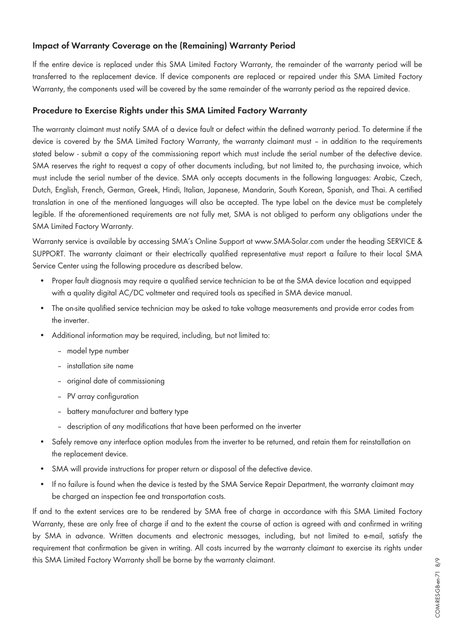# **Impact of Warranty Coverage on the (Remaining) Warranty Period**

If the entire device is replaced under this SMA Limited Factory Warranty, the remainder of the warranty period will be transferred to the replacement device. If device components are replaced or repaired under this SMA Limited Factory Warranty, the components used will be covered by the same remainder of the warranty period as the repaired device.

#### **Procedure to Exercise Rights under this SMA Limited Factory Warranty**

The warranty claimant must notify SMA of a device fault or defect within the defined warranty period. To determine if the device is covered by the SMA Limited Factory Warranty, the warranty claimant must – in addition to the requirements stated below - submit a copy of the commissioning report which must include the serial number of the defective device. SMA reserves the right to request a copy of other documents including, but not limited to, the purchasing invoice, which must include the serial number of the device. SMA only accepts documents in the following languages: Arabic, Czech, Dutch, English, French, German, Greek, Hindi, Italian, Japanese, Mandarin, South Korean, Spanish, and Thai. A certified translation in one of the mentioned languages will also be accepted. The type label on the device must be completely legible. If the aforementioned requirements are not fully met, SMA is not obliged to perform any obligations under the SMA Limited Factory Warranty.

Warranty service is available by accessing SMA's Online Support at [www.SMA-Solar.com](http://www.SMA-Solar.com) under the heading SERVICE & SUPPORT. The warranty claimant or their electrically qualified representative must report a failure to their local SMA Service Center using the following procedure as described below.

- Proper fault diagnosis may require a qualified service technician to be at the SMA device location and equipped with a quality digital AC/DC voltmeter and required tools as specified in SMA device manual.
- The on-site qualified service technician may be asked to take voltage measurements and provide error codes from the inverter.
- Additional information may be required, including, but not limited to:
	- model type number
	- installation site name
	- original date of commissioning
	- PV array configuration
	- battery manufacturer and battery type
	- description of any modifications that have been performed on the inverter
- Safely remove any interface option modules from the inverter to be returned, and retain them for reinstallation on the replacement device.
- SMA will provide instructions for proper return or disposal of the defective device.
- If no failure is found when the device is tested by the SMA Service Repair Department, the warranty claimant may be charged an inspection fee and transportation costs.

If and to the extent services are to be rendered by SMA free of charge in accordance with this SMA Limited Factory Warranty, these are only free of charge if and to the extent the course of action is agreed with and confirmed in writing by SMA in advance. Written documents and electronic messages, including, but not limited to e-mail, satisfy the requirement that confirmation be given in writing. All costs incurred by the warranty claimant to exercise its rights under this SMA Limited Factory Warranty shall be borne by the warranty claimant.